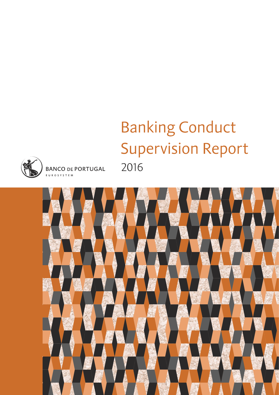# **Banking Conduct Supervision Report** 2016



**BANCO DE PORTUGAL EUROSYSTEM** 

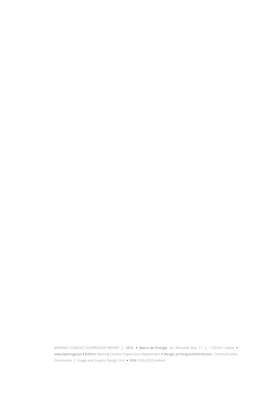BANKING CONDUCT SUPERVISION REPORT | 2016 **•** Banco de Portugal Av. Almirante Reis, 71 | 1150-012 Lisboa **•** www.bportugal.pt **•** Edition Banking Conduct Supervision Department **•** Design, printing and distribution Communication Directorate | Image and Graphic Design Unit **•** ISSN 2183-2552 (online)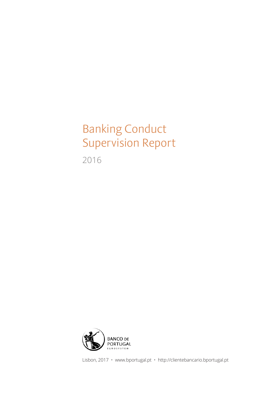## Banking Conduct Supervision Report

2016



Lisbon, 2017 • www.bportugal.pt • http://clientebancario.bportugal.pt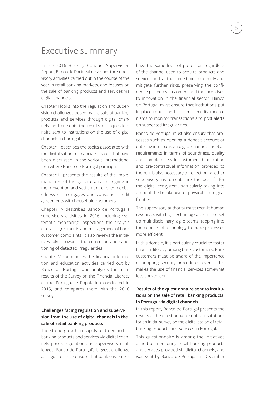### Executive summary

In the 2016 Banking Conduct Supervision Report, Banco de Portugal describes the supervisory activities carried out in the course of the year in retail banking markets, and focuses on the sale of banking products and services via digital channels.

Chapter I looks into the regulation and supervision challenges posed by the sale of banking products and services through digital channels, and presents the results of a questionnaire sent to institutions on the use of digital channels in Portugal.

Chapter II describes the topics associated with the digitalisation of financial services that have been discussed in the various international fora where Banco de Portugal participates.

Chapter III presents the results of the implementation of the general arrears regime in the prevention and settlement of over-indebtedness on mortgages and consumer credit agreements with household customers.

Chapter IV describes Banco de Portugal's supervisory activities in 2016, including systematic monitoring, inspections, the analysis of draft agreements and management of bank customer complaints. It also reviews the initiatives taken towards the correction and sanctioning of detected irregularities.

Chapter V summarises the financial information and education activities carried out by Banco de Portugal and analyses the main results of the Survey on the Financial Literacy of the Portuguese Population conducted in 2015, and compares them with the 2010 survey.

#### **Challenges facing regulation and supervision from the use of digital channels in the sale of retail banking products**

The strong growth in supply and demand of banking products and services via digital channels poses regulation and supervisory challenges. Banco de Portugal's biggest challenge as regulator is to ensure that bank customers

have the same level of protection regardless of the channel used to acquire products and services and, at the same time, to identify and mitigate further risks, preserving the confidence placed by customers and the incentives to innovation in the financial sector. Banco de Portugal must ensure that institutions put in place robust and resilient security mechanisms to monitor transactions and post alerts on suspected irregularities.

Banco de Portugal must also ensure that processes such as opening a deposit account or entering into loans via digital channels meet all requirements in terms of soundness, quality and completeness in customer identification and pre-contractual information provided to them. It is also necessary to reflect on whether supervisory instruments are the best fit for the digital ecosystem, particularly taking into account the breakdown of physical and digital frontiers.

The supervisory authority must recruit human resources with high technological skills and set up multidisciplinary, agile teams, tapping into the benefits of technology to make processes more efficient.

In this domain, it is particularly crucial to foster financial literacy among bank customers. Bank customers must be aware of the importance of adopting security procedures, even if this makes the use of financial services somewhat less convenient.

#### **Results of the questionnaire sent to institutions on the sale of retail banking products in Portugal via digital channels**

In this report, Banco de Portugal presents the results of the questionnaire sent to institutions for an initial survey on the digitalisation of retail banking products and services in Portugal.

This questionnaire is among the initiatives aimed at monitoring retail banking products and services provided via digital channels, and was sent by Banco de Portugal in December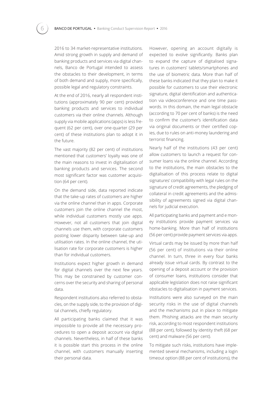2016 to 34 market-representative institutions. Amid strong growth in supply and demand of banking products and services via digital channels, Banco de Portugal intended to assess the obstacles to their development, in terms of both demand and supply, more specifically, possible legal and regulatory constraints.

At the end of 2016, nearly all respondent institutions (approximately 90 per cent) provided banking products and services to individual customers via their online channels. Although supply via mobile applications (apps) is less frequent (62 per cent), over one-quarter (29 per cent) of these institutions plan to adopt it in the future.

The vast majority (82 per cent) of institutions mentioned that customers' loyalty was one of the main reasons to invest in digitalisation of banking products and services. The second most significant factor was customer acquisition (64 per cent).

On the demand side, data reported indicate that the take-up rates of customers are higher via the online channel than in apps. Corporate customers join the online channel the most, while individual customers mostly use apps. However, not all customers that join digital channels use them, with corporate customers posting lower disparity between take-up and utilisation rates. In the online channel, the utilisation rate for corporate customers is higher than for individual customers.

Institutions expect higher growth in demand for digital channels over the next few years. This may be constrained by customer concerns over the security and sharing of personal data.

Respondent institutions also referred to obstacles, on the supply side, to the provision of digital channels, chiefly regulatory.

All participating banks claimed that it was impossible to provide all the necessary procedures to open a deposit account via digital channels. Nevertheless, in half of these banks it is possible start this process in the online channel, with customers manually inserting their personal data.

However, opening an account digitally is expected to evolve significantly. Banks plan to expand the capture of digitalised signatures in customers' tablets/smartphones and the use of biometric data. More than half of these banks indicated that they plan to make it possible for customers to use their electronic signature, digital identification and authentication via videoconference and one time passwords. In this domain, the main legal obstacle (according to 70 per cent of banks) is the need to confirm the customer's identification data via original documents or their certified copies, due to rules on anti-money laundering and terrorist financing.

Nearly half of the institutions (43 per cent) allow customers to launch a request for consumer loans via the online channel. According to the institutions, the main obstacles to the digitalisation of this process relate to digital signatures' compatibility with legal rules on the signature of credit agreements, the pledging of collateral in credit agreements and the admissibility of agreements signed via digital channels for judicial execution.

All participating banks and payment and e money institutions provide payment services via home-banking. More than half of institutions (56 per cent) provide payment services via apps.

Virtual cards may be issued by more than half (56 per cent) of institutions via their online channel. In turn, three in every four banks already issue virtual cards. By contrast to the opening of a deposit account or the provision of consumer loans, institutions consider that applicable legislation does not raise significant obstacles to digitalisation in payment services.

Institutions were also surveyed on the main security risks in the use of digital channels and the mechanisms put in place to mitigate them. Phishing attacks are the main security risk, according to most respondent institutions (88 per cent), followed by identity theft (68 per cent) and malware (56 per cent).

To mitigate such risks, institutions have implemented several mechanisms, including a login timeout option (88 per cent of institutions), the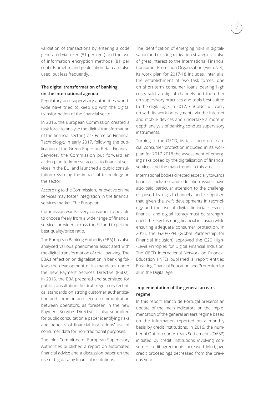validation of transactions by entering a code generated via token (81 per cent) and the use of information encryption methods (81 per cent). Biometric and geolocation data are also used, but less frequently.

#### **The digital transformation of banking on the international agenda**

Regulatory and supervisory authorities worldwide have tried to keep up with the digital transformation of the financial sector.

In 2016, the European Commission created a task force to analyse the digital transformation of the financial sector (Task Force on Financial Technology). In early 2017, following the publication of the Green Paper on Retail Financial Services, the Commission put forward an action plan to improve access to financial services in the EU, and launched a public consultation regarding the impact of technology on the sector.

According to the Commission, innovative online services may foster integration in the financial services market. The European

Commission wants every consumer to be able to choose freely from a wide range of financial services provided across the EU and to get the best quality/price ratio.

The European Banking Authority (EBA) has also analysed various phenomena associated with the digital transformation of retail banking. The EBA's reflection on digitalisation in banking follows the development of its mandates under the new Payment Services Directive (PSD2). In 2016, the EBA prepared and submitted for public consultation the draft regulatory technical standards on strong customer authentication and common and secure communication between operators, as foreseen in the new Payment Services Directive. It also submitted for public consultation a paper identifying risks and benefits of financial institutions' use of consumer data for non-traditional purposes.

The Joint Committee of European Supervisory Authorities published a report on automated financial advice and a discussion paper on the use of big data by financial institutions.

The identification of emerging risks in digitalisation and existing mitigation strategies is also of great interest to the International Financial Consumer Protection Organisation (FinCoNet). Its work plan for 2017-18 includes, inter alia, the establishment of two task forces, one on short-term consumer loans bearing high costs sold via digital channels and the other on supervisory practices and tools best suited to the digital age. In 2017, FinCoNet will carry on with its work on payments via the Internet and mobile devices and undertake a more in depth analysis of banking conduct supervisory instruments.

Turning to the OECD, its task force on financial consumer protection included in its work plan for 2017-2018 the assessment of emerging risks posed by the digitalisation of financial services and the main trends in this area.

International bodies directed especially towards financial inclusion and education issues have also paid particular attention to the challenges posed by digital channels, and recognised that, given the swift developments in technology and the rise of digital financial services, financial and digital literacy must be strengthened, thereby fostering financial inclusion while ensuring adequate consumer protection. In 2016, the G20/GPFI (Global Partnership for Financial Inclusion) approved the G20 High- -Level Principles for Digital Financial Inclusion. The OECD International Network on Financial Education (INFE) published a report entitled Ensuring Financial Education and Protection for all in the Digital Age.

#### **Implementation of the general arrears regime**

In this report, Banco de Portugal presents an update of the main indicators on the implementation of the general arrears regime based on the information reported on a monthly basis by credit institutions. In 2016, the number of Out-of-court Arrears Settlements (OASP) initiated by credit institutions involving consumer credit agreements increased. Mortgage credit proceedings decreased from the previous year.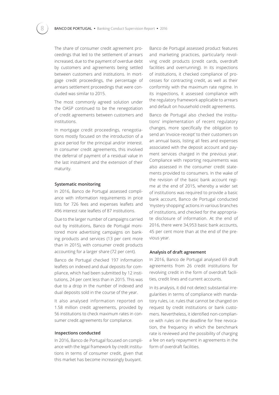The share of consumer credit agreement proceedings that led to the settlement of arrears increased, due to the payment of overdue debt by customers and agreements being settled between customers and institutions. In mortgage credit proceedings, the percentage of arrears settlement proceedings that were concluded was similar to 2015.

The most commonly agreed solution under the OASP continued to be the renegotiation of credit agreements between customers and institutions.

In mortgage credit proceedings, renegotiations mostly focused on the introduction of a grace period for the principal and/or interest. In consumer credit agreements, this involved the deferral of payment of a residual value in the last instalment and the extension of their maturity.

#### **Systematic monitoring**

In 2016, Banco de Portugal assessed compliance with information requirements in price lists for 726 fees and expenses leaflets and 496 interest rate leaflets of 87 institutions.

Due to the larger number of campaigns carried out by institutions, Banco de Portugal monitored more advertising campaigns on banking products and services (13 per cent more than in 2015), with consumer credit products accounting for a larger share (72 per cent).

Banco de Portugal checked 197 information leaflets on indexed and dual deposits for compliance, which had been submitted by 12 institutions, 24 per cent less than in 2015. This was due to a drop in the number of indexed and dual deposits sold in the course of the year.

It also analysed information reported on 1.58 million credit agreements, provided by 56 institutions to check maximum rates in consumer credit agreements for compliance.

#### **Inspections conducted**

In 2016, Banco de Portugal focused on compliance with the legal framework by credit institutions in terms of consumer credit, given that this market has become increasingly buoyant.

Banco de Portugal assessed product features and marketing practices, particularly revolving credit products (credit cards, overdraft facilities and overrunning). In its inspections of institutions, it checked compliance of processes for contracting credit, as well as their conformity with the maximum rate regime. In its inspections, it assessed compliance with the regulatory framework applicable to arrears and default on household credit agreements.

Banco de Portugal also checked the institutions' implementation of recent regulatory changes, more specifically the obligation to send an 'invoice-receipt' to their customers on an annual basis, listing all fees and expenses associated with the deposit account and payment services charged in the previous year. Compliance with reporting requirements was also assessed in the consumer credit statements provided to consumers. In the wake of the revision of the basic bank account regime at the end of 2015, whereby a wider set of institutions was required to provide a basic bank account, Banco de Portugal conducted 'mystery shopping' actions in various branches of institutions, and checked for the appropriate disclosure of information. At the end of 2016, there were 34,953 basic bank accounts, 45 per cent more than at the end of the previous year.

#### **Analysis of draft agreement**

In 2016, Banco de Portugal analysed 69 draft agreements from 26 credit institutions for revolving credit in the form of overdraft facilities, credit lines and current accounts.

In its analysis, it did not detect substantial irregularities in terms of compliance with mandatory rules, i.e. rules that cannot be changed on request by credit institutions or bank customers. Nevertheless, it identified non-compliance with rules on the deadline for free revocation, the frequency in which the benchmark rate is reviewed and the possibility of charging a fee on early repayment in agreements in the form of overdraft facilities.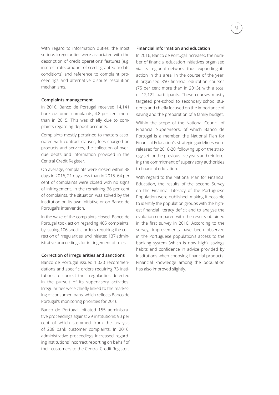With regard to information duties, the most serious irregularities were associated with the description of credit operations' features (e.g. interest rate, amount of credit granted and its conditions) and reference to complaint proceedings and alternative dispute resolution mechanisms.

#### **Complaints management**

In 2016, Banco de Portugal received 14,141 bank customer complaints, 4.8 per cent more than in 2015. This was chiefly due to complaints regarding deposit accounts.

Complaints mostly pertained to matters associated with contract clauses, fees charged on products and services, the collection of overdue debts and information provided in the Central Credit Register.

On average, complaints were closed within 38 days in 2016, 21 days less than in 2015. 64 per cent of complaints were closed with no signs of infringement. In the remaining 36 per cent of complaints, the situation was solved by the institution on its own initiative or on Banco de Portugal's intervention.

In the wake of the complaints closed, Banco de Portugal took action regarding 405 complaints, by issuing 106 specific orders requiring the correction of irregularities, and initiated 137 administrative proceedings for infringement of rules.

#### **Correction of irregularities and sanctions**

Banco de Portugal issued 1,020 recommendations and specific orders requiring 73 institutions to correct the irregularities detected in the pursuit of its supervisory activities. Irregularities were chiefly linked to the marketing of consumer loans, which reflects Banco de Portugal's monitoring priorities for 2016.

Banco de Portugal initiated 155 administrative proceedings against 29 institutions: 90 per cent of which stemmed from the analysis of 208 bank customer complaints. In 2016, administrative proceedings increased regarding institutions' incorrect reporting on behalf of their customers to the Central Credit Register.

#### **Financial information and education**

In 2016, Banco de Portugal increased the number of financial education initiatives organised via its regional network, thus expanding its action in this area. In the course of the year, it organised 350 financial education courses (75 per cent more than in 2015), with a total of 12,122 participants. These courses mostly targeted pre-school to secondary school students and chiefly focused on the importance of saving and the preparation of a family budget.

Within the scope of the National Council of Financial Supervisors, of which Banco de Portugal is a member, the National Plan for Financial Education's strategic guidelines were released for 2016-20, following up on the strategy set for the previous five years and reinforcing the commitment of supervisory authorities to financial education.

With regard to the National Plan for Financial Education, the results of the second Survey on the Financial Literacy of the Portuguese Population were published, making it possible to identify the population groups with the highest financial literacy deficit and to analyse the evolution compared with the results obtained in the first survey in 2010. According to the survey, improvements have been observed in the Portuguese population's access to the banking system (which is now high), savings habits and confidence in advice provided by institutions when choosing financial products. Financial knowledge among the population has also improved slightly.

9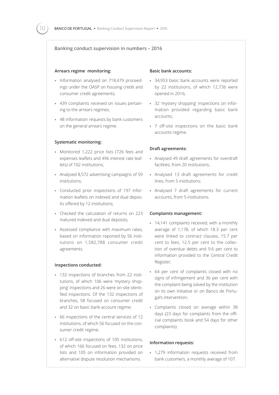#### **Banking conduct supervision in numbers – 2016**

#### **Arrears regime monitoring:**

- Information analysed on 718,479 proceedings under the OASP on housing credit and consumer credit agreements;
- • 439 complaints received on issues pertaining to the arrears regimes;
- • 48 information requests by bank customers on the general arrears regime.

#### **Systematic monitoring:**

- Monitored 1,222 price lists (726 fees and expenses leaflets and 496 interest rate leaflets) of 102 institutions;
- • Analysed 8,572 advertising campaigns of 59 institutions;
- • Conducted prior inspections of 197 information leaflets on indexed and dual deposits offered by 12 institutions;
- • Checked the calculation of returns on 223 matured indexed and dual deposits;
- • Assessed compliance with maximum rates, based on information reported by 56 institutions on 1,582,788 consumer credit agreements.

#### **Inspections conducted:**

- • 132 inspections of branches from 22 institutions, of which 106 were 'mystery shopping' inspections and 26 were on-site identified inspections. Of the 132 inspections of branches, 58 focused on consumer credit and 32 on basic bank account regime;
- • 66 inspections of the central services of 12 institutions, of which 56 focused on the consumer credit regime;
- • 612 off-site inspections of 105 institutions, of which 166 focused on fees, 132 on price lists and 105 on information provided on alternative dispute resolution mechanisms.

#### **Basic bank accounts:**

- • 34,953 basic bank accounts were reported by 22 institutions, of which 12,736 were opened in 2016;
- • 32 'mystery shopping' inspections on information provided regarding basic bank accounts;
- • 7 off-site inspections on the basic bank accounts regime.

#### **Draft agreements:**

- • Analysed 49 draft agreements for overdraft facilities, from 20 institutions;
- • Analysed 13 draft agreements for credit lines, from 5 institutions;
- • Analysed 7 draft agreements for current accounts, from 5 institutions.

#### **Complaints management:**

- 14,141 complaints received, with a monthly average of 1,178, of which 18.3 per cent were linked to contract clauses, 15.7 per cent to fees, 12.5 per cent to the collection of overdue debts and 9.6 per cent to information provided to the Central Credit Register;
- • 64 per cent of complaints closed with no signs of infringement and 36 per cent with the complaint being solved by the institution on its own initiative or on Banco de Portugal's intervention;
- • Complaints closed on average within 38 days (23 days for complaints from the official complaints book and 54 days for other complaints).

#### **Information requests:**

• 1,279 information requests received from bank customers, a monthly average of 107.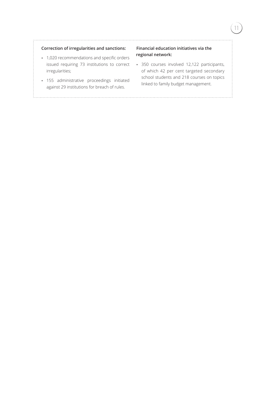#### **Correction of irregularities and sanctions:**

- • 1,020 recommendations and specific orders issued requiring 73 institutions to correct irregularities;
- • 155 administrative proceedings initiated against 29 institutions for breach of rules.

#### **Financial education initiatives via the regional network:**

• 350 courses involved 12,122 participants, of which 42 per cent targeted secondary school students and 218 courses on topics linked to family budget management.